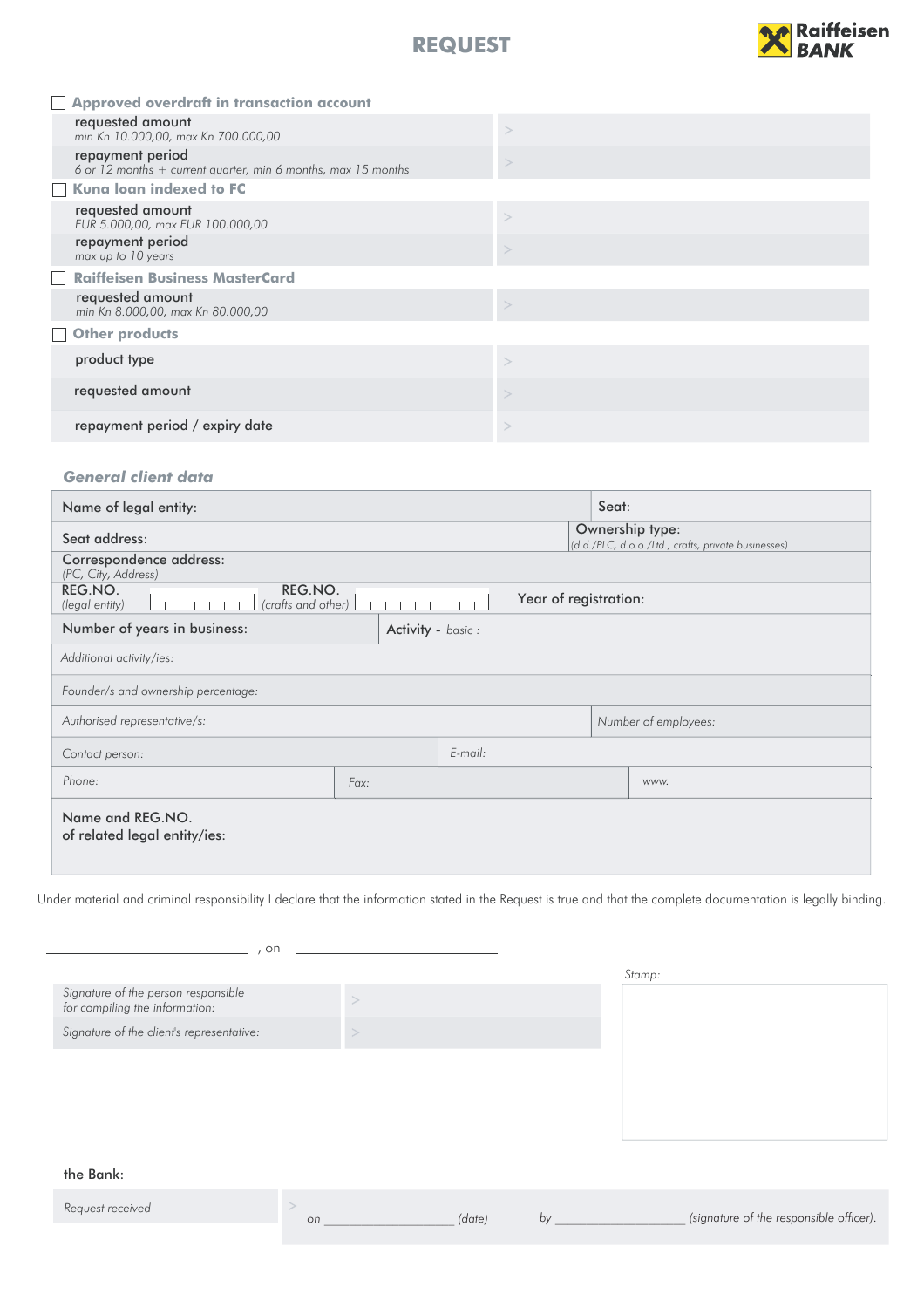



|                   | Approved overdraft in transaction account                                           |  |
|-------------------|-------------------------------------------------------------------------------------|--|
|                   | requested amount<br>min Kn 10.000,00, max Kn 700.000,00                             |  |
|                   | repayment period<br>6 or 12 months $+$ current quarter, min 6 months, max 15 months |  |
|                   | Kuna loan indexed to FC                                                             |  |
|                   | requested amount<br>EUR 5.000,00, max EUR 100.000,00                                |  |
|                   | repayment period<br>max up to 10 years                                              |  |
| $\vert \ \ \vert$ | <b>Raiffeisen Business MasterCard</b>                                               |  |
|                   | requested amount<br>min Kn 8.000,00, max Kn 80.000,00                               |  |
|                   | Other products                                                                      |  |
|                   | product type                                                                        |  |
|                   | requested amount                                                                    |  |
|                   | repayment period / expiry date                                                      |  |

### *General client data*

| Name of legal entity:                                      |                   |                       | Seat:                                                                  |                      |  |
|------------------------------------------------------------|-------------------|-----------------------|------------------------------------------------------------------------|----------------------|--|
| Seat address:                                              |                   |                       | Ownership type:<br>(d.d./PLC, d.o.o./Ltd., crafts, private businesses) |                      |  |
| Correspondence address:<br>(PC, City, Address)             |                   |                       |                                                                        |                      |  |
| REG.NO.<br>REG.NO.<br>(crafts and other)<br>(legal entity) |                   | Year of registration: |                                                                        |                      |  |
| Number of years in business:                               | Activity - basic: |                       |                                                                        |                      |  |
| Additional activity/ies:                                   |                   |                       |                                                                        |                      |  |
| Founder/s and ownership percentage:                        |                   |                       |                                                                        |                      |  |
| Authorised representative/s:                               |                   |                       |                                                                        | Number of employees: |  |
| Contact person:                                            |                   | $E$ -mail:            |                                                                        |                      |  |
| Phone:                                                     | Fax:              |                       |                                                                        | www.                 |  |
| Name and REG.NO.<br>of related legal entity/ies:           |                   |                       |                                                                        |                      |  |

Under material and criminal responsibility I declare that the information stated in the Request is true and that the complete documentation is legally binding.

| on                                                                    |        |
|-----------------------------------------------------------------------|--------|
|                                                                       | Stamp: |
| Signature of the person responsible<br>for compiling the information: |        |
| Signature of the client's representative:                             |        |
|                                                                       |        |
|                                                                       |        |
|                                                                       |        |
|                                                                       |        |

#### the Bank:

| Request received |        |                                         |
|------------------|--------|-----------------------------------------|
|                  | (date) | (signature of the responsible officer). |
|                  |        |                                         |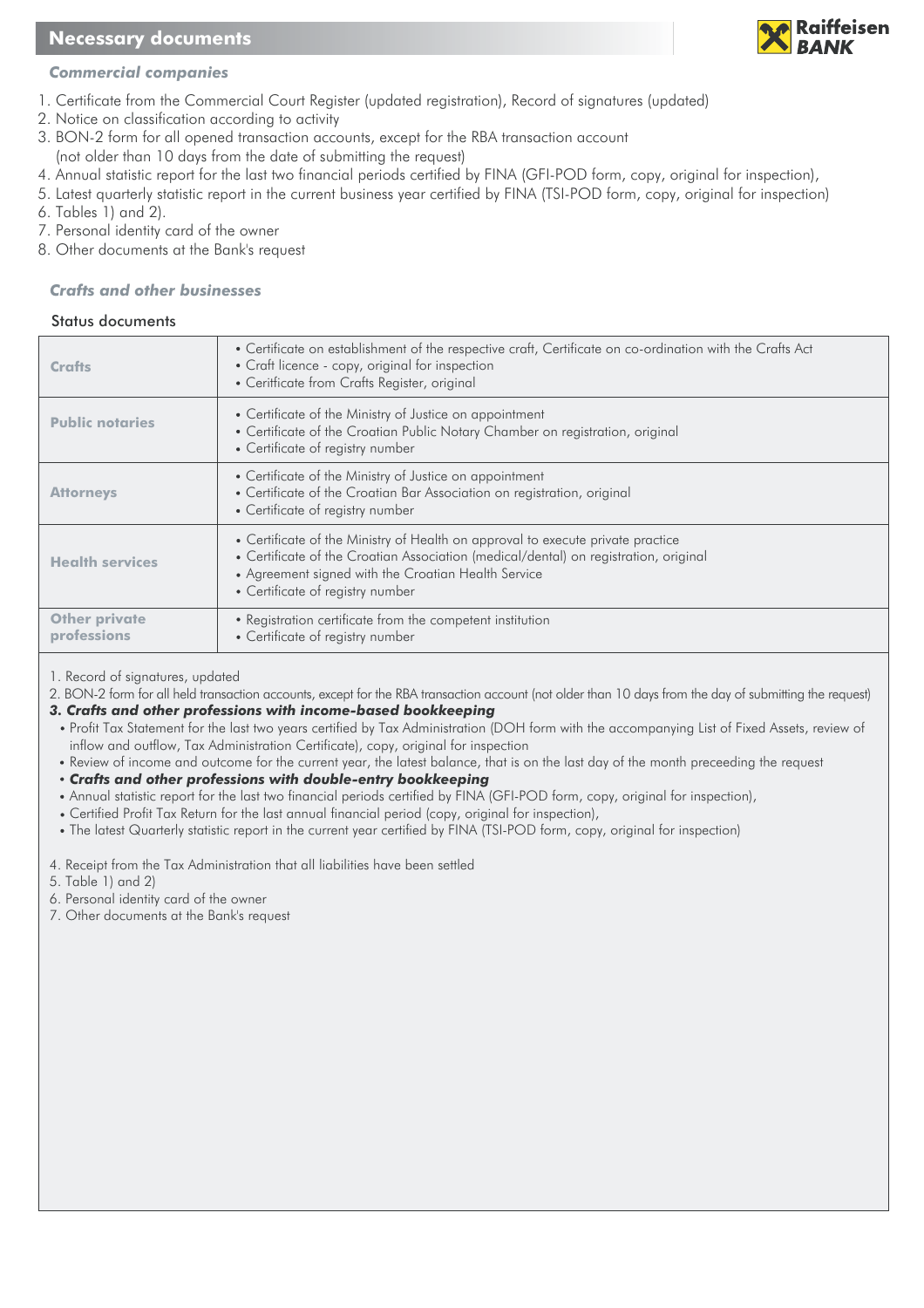# **Necessary documents**



## *Commercial companies*

- 1. Certificate from the Commercial Court Register (updated registration), Record of signatures (updated)
- 2. Notice on classification according to activity
- 3. BON-2 form for all opened transaction accounts, except for the RBA transaction account
- (not older than 10 days from the date of submitting the request)
- 4. Annual statistic report for the last two financial periods certified by FINA (GFI-POD form, copy, original for inspection),
- 5. Latest quarterly statistic report in the current business year certified by FINA (TSI-POD form, copy, original for inspection)
- 6. Tables 1) and 2).
- 7. Personal identity card of the owner
- 8. Other documents at the Bank's request

## *Crafts and other businesses*

### Status documents

| Crafts                              | • Certificate on establishment of the respective craft, Certificate on co-ordination with the Crafts Act<br>• Craft licence - copy, original for inspection<br>• Ceritficate from Crafts Register, original                                                        |
|-------------------------------------|--------------------------------------------------------------------------------------------------------------------------------------------------------------------------------------------------------------------------------------------------------------------|
| <b>Public notaries</b>              | • Certificate of the Ministry of Justice on appointment<br>• Certificate of the Croatian Public Notary Chamber on registration, original<br>• Certificate of registry number                                                                                       |
| <b>Attorneys</b>                    | • Certificate of the Ministry of Justice on appointment<br>• Certificate of the Croatian Bar Association on registration, original<br>• Certificate of registry number                                                                                             |
| <b>Health services</b>              | • Certificate of the Ministry of Health on approval to execute private practice<br>• Certificate of the Croatian Association (medical/dental) on registration, original<br>• Agreement signed with the Croatian Health Service<br>• Certificate of registry number |
| <b>Other private</b><br>professions | • Registration certificate from the competent institution<br>• Certificate of registry number                                                                                                                                                                      |

1. Record of signatures, updated

2. BON-2 form for all held transaction accounts, except for the RBA transaction account (not older than 10 days from the day of submitting the request)

*3. Crafts and other professions with income-based bookkeeping* 

- Profit Tax Statement for the last two years certified by Tax Administration (DOH form with the accompanying List of Fixed Assets, review of inflow and outflow, Tax Administration Certificate), copy, original for inspection
- Review of income and outcome for the current year, the latest balance, that is on the last day of the month preceeding the request

*Crafts and other professions with double-entry bookkeeping*

- Annual statistic report for the last two financial periods certified by FINA (GFI-POD form, copy, original for inspection),
- Certified Profit Tax Return for the last annual financial period (copy, original for inspection),
- The latest Quarterly statistic report in the current year certified by FINA (TSI-POD form, copy, original for inspection)
- 4. Receipt from the Tax Administration that all liabilities have been settled
- 5. Table 1) and 2)
- 6. Personal identity card of the owner
- 7. Other documents at the Bank's request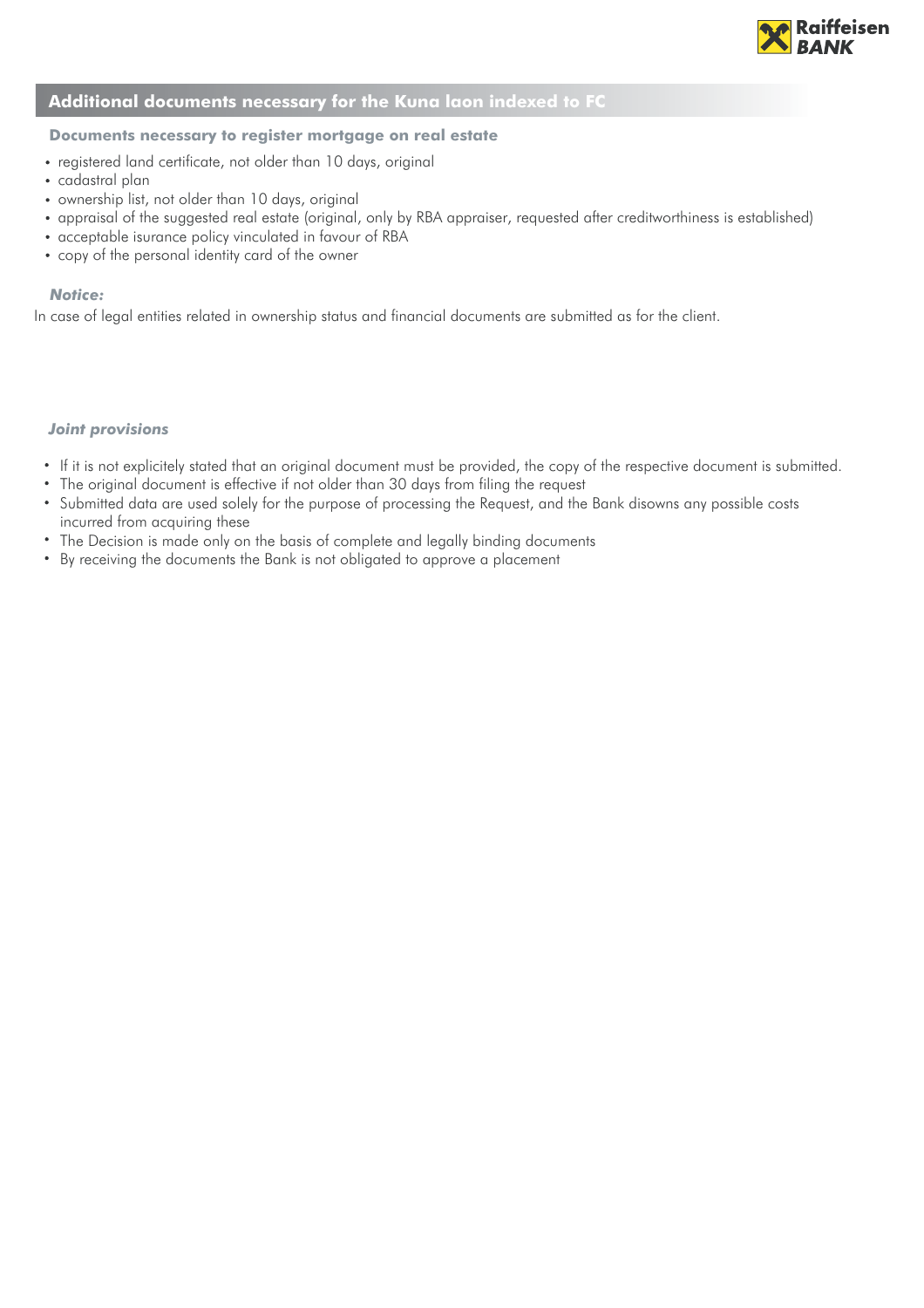

## **Additional documents necessary for the Kuna laon indexed to FC**

### **Documents necessary to register mortgage on real estate**

- registered land certificate, not older than 10 days, original
- cadastral plan
- ownership list, not older than 10 days, original
- appraisal of the suggested real estate (original, only by RBA appraiser, requested after creditworthiness is established)
- acceptable isurance policy vinculated in favour of RBA
- copy of the personal identity card of the owner

#### *Notice:*

In case of legal entities related in ownership status and financial documents are submitted as for the client.

#### *Joint provisions*

- If it is not explicitely stated that an original document must be provided, the copy of the respective document is submitted.
- The original document is effective if not older than 30 days from filing the request
- Submitted data are used solely for the purpose of processing the Request, and the Bank disowns any possible costs incurred from acquiring these
- $\bullet$ The Decision is made only on the basis of complete and legally binding documents
- By receiving the documents the Bank is not obligated to approve a placement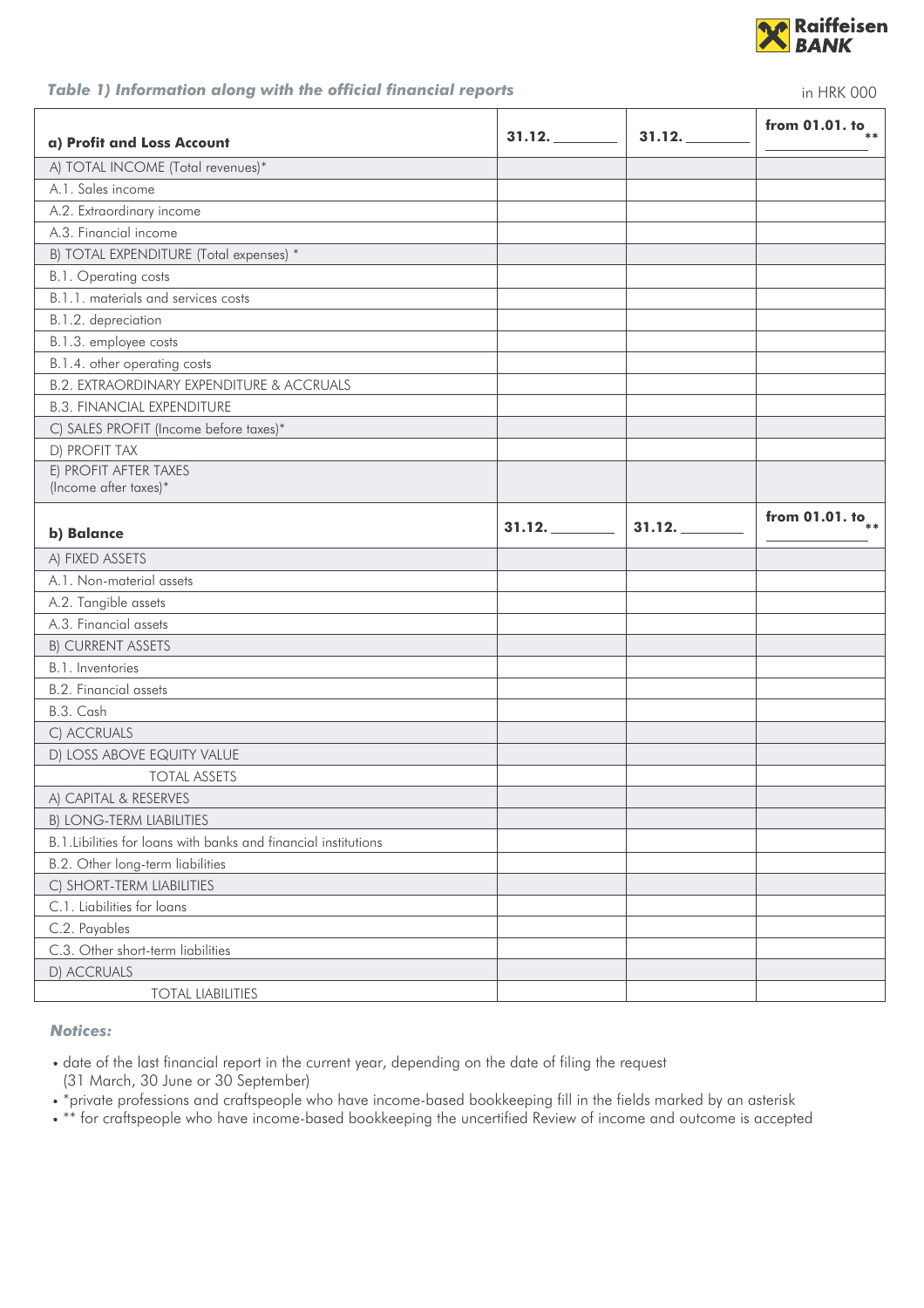

## *Table 1) Information along with the official financial reports*

| Table 1) Information along with the official financial reports<br>in HRK 000 |        |        |                        |  |  |
|------------------------------------------------------------------------------|--------|--------|------------------------|--|--|
| a) Profit and Loss Account                                                   | 31.12. | 31.12. | from 01.01. to $_{**}$ |  |  |
| A) TOTAL INCOME (Total revenues)*                                            |        |        |                        |  |  |
| A.1. Sales income                                                            |        |        |                        |  |  |
| A.2. Extraordinary income                                                    |        |        |                        |  |  |
| A.3. Financial income                                                        |        |        |                        |  |  |
| B) TOTAL EXPENDITURE (Total expenses) *                                      |        |        |                        |  |  |
| B.1. Operating costs                                                         |        |        |                        |  |  |
| B.1.1. materials and services costs                                          |        |        |                        |  |  |
| B.1.2. depreciation                                                          |        |        |                        |  |  |
| B.1.3. employee costs                                                        |        |        |                        |  |  |
| B.1.4. other operating costs                                                 |        |        |                        |  |  |
| <b>B.2. EXTRAORDINARY EXPENDITURE &amp; ACCRUALS</b>                         |        |        |                        |  |  |
| <b>B.3. FINANCIAL EXPENDITURE</b>                                            |        |        |                        |  |  |
| C) SALES PROFIT (Income before taxes)*                                       |        |        |                        |  |  |
| D) PROFIT TAX                                                                |        |        |                        |  |  |
| E) PROFIT AFTER TAXES                                                        |        |        |                        |  |  |
| (Income after taxes)*                                                        |        |        |                        |  |  |
| b) Balance                                                                   | 31.12. | 31.12. | from 01.01. to $_{**}$ |  |  |
|                                                                              |        |        |                        |  |  |
| A) FIXED ASSETS                                                              |        |        |                        |  |  |
| A.1. Non-material assets                                                     |        |        |                        |  |  |
| A.2. Tangible assets                                                         |        |        |                        |  |  |
| A.3. Financial assets                                                        |        |        |                        |  |  |
| <b>B) CURRENT ASSETS</b>                                                     |        |        |                        |  |  |
| B.1. Inventories                                                             |        |        |                        |  |  |
| <b>B.2. Financial assets</b>                                                 |        |        |                        |  |  |
| B.3. Cash                                                                    |        |        |                        |  |  |
| C) ACCRUALS                                                                  |        |        |                        |  |  |
| D) LOSS ABOVE EQUITY VALUE                                                   |        |        |                        |  |  |
| <b>TOTAL ASSETS</b>                                                          |        |        |                        |  |  |
| A) CAPITAL & RESERVES                                                        |        |        |                        |  |  |
| <b>B) LONG-TERM LIABILITIES</b>                                              |        |        |                        |  |  |
| B.1. Libilities for loans with banks and financial institutions              |        |        |                        |  |  |
| B.2. Other long-term liabilities                                             |        |        |                        |  |  |
| C) SHORT-TERM LIABILITIES                                                    |        |        |                        |  |  |
| C.1. Liabilities for loans                                                   |        |        |                        |  |  |
| C.2. Payables                                                                |        |        |                        |  |  |
| C.3. Other short-term liabilities                                            |        |        |                        |  |  |
| D) ACCRUALS                                                                  |        |        |                        |  |  |

*Notices:*

date of the last financial report in the current year, depending on the date of filing the request (31 March, 30 June or 30 September)

\*private professions and craftspeople who have income-based bookkeeping fill in the fields marked by an asterisk

\*\* for craftspeople who have income-based bookkeeping the uncertified Review of income and outcome is accepted